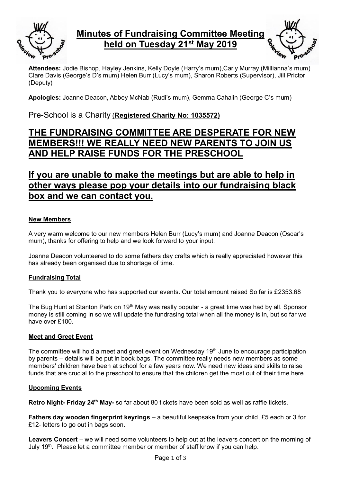

# **Minutes of Fundraising Committee Meeting held on Tuesday 21st May 2019**



**Attendees:** Jodie Bishop, Hayley Jenkins, Kelly Doyle (Harry's mum),Carly Murray (Millianna's mum) Clare Davis (George's D's mum) Helen Burr (Lucy's mum), Sharon Roberts (Supervisor), Jill Prictor (Deputy)

**Apologies:** Joanne Deacon, Abbey McNab (Rudi's mum), Gemma Cahalin (George C's mum)

## Pre-School is a Charity (**Registered Charity No: 1035572)**

# **THE FUNDRAISING COMMITTEE ARE DESPERATE FOR NEW MEMBERS!!! WE REALLY NEED NEW PARENTS TO JOIN US AND HELP RAISE FUNDS FOR THE PRESCHOOL**

# **If you are unable to make the meetings but are able to help in other ways please pop your details into our fundraising black box and we can contact you.**

### **New Members**

A very warm welcome to our new members Helen Burr (Lucy's mum) and Joanne Deacon (Oscar's mum), thanks for offering to help and we look forward to your input.

Joanne Deacon volunteered to do some fathers day crafts which is really appreciated however this has already been organised due to shortage of time.

### **Fundraising Total**

Thank you to everyone who has supported our events. Our total amount raised So far is £2353.68

The Bug Hunt at Stanton Park on 19<sup>th</sup> May was really popular - a great time was had by all. Sponsor money is still coming in so we will update the fundrasing total when all the money is in, but so far we have over £100.

### **Meet and Greet Event**

The committee will hold a meet and greet event on Wednesday 19<sup>th</sup> June to encourage participation by parents – details will be put in book bags. The committee really needs new members as some members' children have been at school for a few years now. We need new ideas and skills to raise funds that are crucial to the preschool to ensure that the children get the most out of their time here.

#### **Upcoming Events**

**Retro Night- Friday 24th May-** so far about 80 tickets have been sold as well as raffle tickets.

**Fathers day wooden fingerprint keyrings** – a beautiful keepsake from your child, £5 each or 3 for £12- letters to go out in bags soon.

**Leavers Concert** – we will need some volunteers to help out at the leavers concert on the morning of July 19<sup>th</sup>. Please let a committee member or member of staff know if you can help.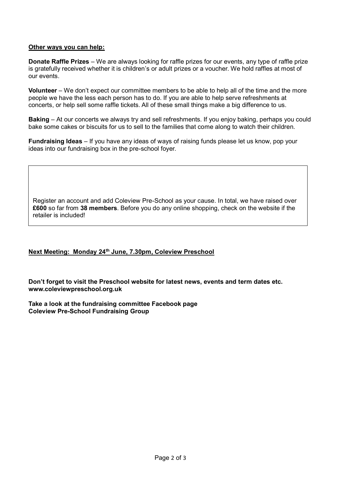#### **Other ways you can help:**

**Donate Raffle Prizes** – We are always looking for raffle prizes for our events, any type of raffle prize is gratefully received whether it is children's or adult prizes or a voucher. We hold raffles at most of our events.

**Volunteer** – We don't expect our committee members to be able to help all of the time and the more people we have the less each person has to do. If you are able to help serve refreshments at concerts, or help sell some raffle tickets. All of these small things make a big difference to us.

**Baking** – At our concerts we always try and sell refreshments. If you enjoy baking, perhaps you could bake some cakes or biscuits for us to sell to the families that come along to watch their children.

**Fundraising Ideas** – If you have any ideas of ways of raising funds please let us know, pop your ideas into our fundraising box in the pre-school foyer.

Register an account and add Coleview Pre-School as your cause. In total, we have raised over **£600** so far from **38 members**. Before you do any online shopping, check on the website if the retailer is included!

#### **Next Meeting: Monday 24th June, 7.30pm, Coleview Preschool**

**Don't forget to visit the Preschool website for latest news, events and term dates etc. [www.coleviewpreschool.org.uk](http://www.coleviewpreschool.org.uk/)**

**Take a look at the fundraising committee Facebook page [Coleview Pre-School Fundraising Group](https://www.facebook.com/groups/525172507527481/?ref=group_header)**